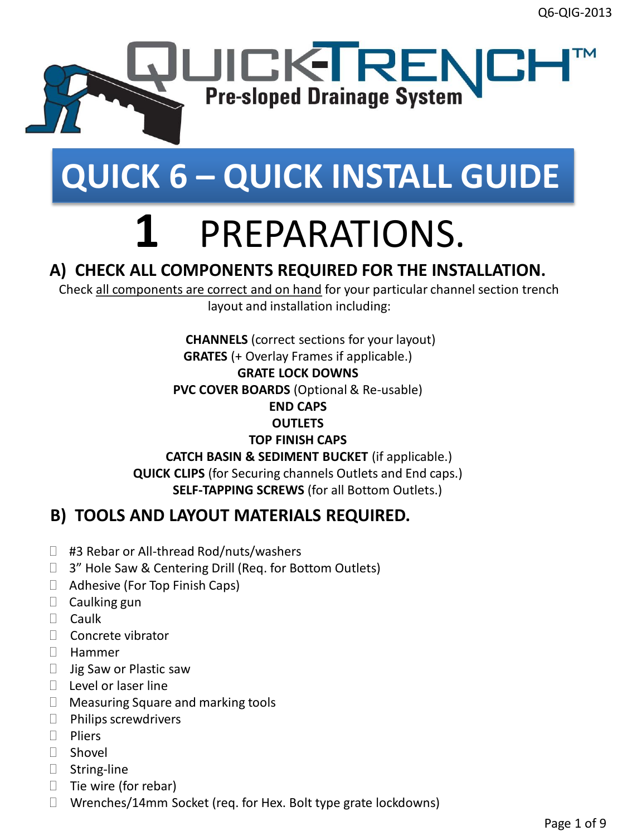

## **1** PREPARATIONS.

## **A) CHECK ALL COMPONENTS REQUIRED FOR THE INSTALLATION.**

Check all components are correct and on hand for your particular channel section trench layout and installation including: ור<br>p

> **CHANNELS** (correct sections for your layout) **GRATES** (+ Overlay Frames if applicable.)

**GRATE LOCK DOWNS**

**PVC COVER BOARDS** (Optional & Re-usable)

#### **END CAPS**

#### **OUTLETS**

#### **TOP FINISH CAPS**

 **CATCH BASIN & SEDIMENT BUCKET** (if applicable.) **QUICK CLIPS** (for Securing channels Outlets and End caps.) **SELF-TAPPING SCREWS** (for all Bottom Outlets.)

## **B) TOOLS AND LAYOUT MATERIALS REQUIRED.**

- $\Box$  #3 Rebar or All-thread Rod/nuts/washers
- □ 3" Hole Saw & Centering Drill (Req. for Bottom Outlets)
- Adhesive (For Top Finish Caps)
- $\Box$  Caulking gun
- $\Box$  Caulk
- □ Concrete vibrator
- Hammer
- **Jig Saw or Plastic saw**
- $\Box$  Level or laser line
- Measuring Square and marking tools
- **D** Philips screwdrivers
- $\Box$  Pliers
- □ Shovel
- □ String-line
- $\Box$  Tie wire (for rebar)
- $\Box$  Wrenches/14mm Socket (req. for Hex. Bolt type grate lockdowns)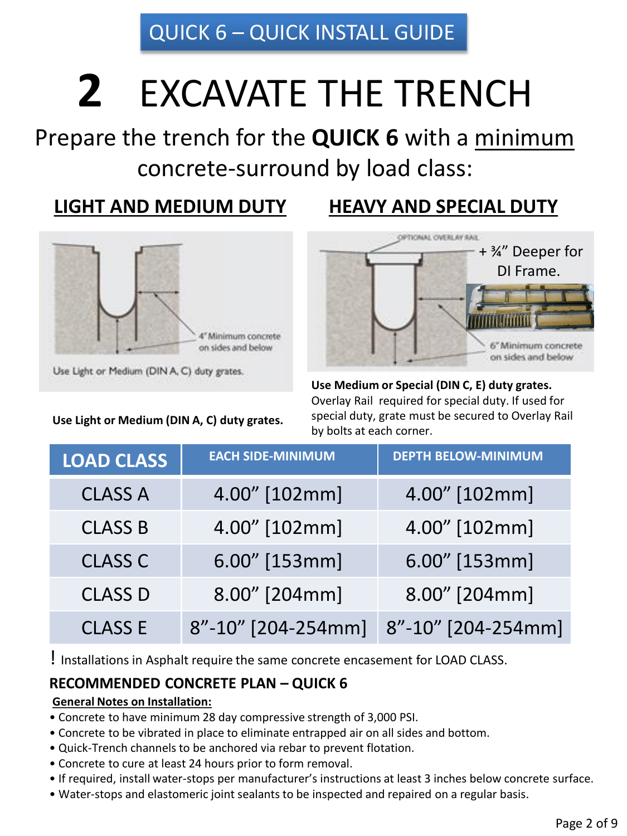# **2** EXCAVATE THE TRENCH

Prepare the trench for the **QUICK 6** with a minimum concrete-surround by load class:

## **LIGHT AND MEDIUM DUTY HEAVY AND SPECIAL DUTY**



Use Light or Medium (DIN A, C) duty grates.

**Use Light or Medium (DIN A, C) duty grates.**

**IONAL OVERLAY SAIL** + ¾" Deeper for DI Frame.6" Minimum concrete on sides and below

**Use Medium or Special (DIN C, E) duty grates.** Overlay Rail required for special duty. If used for special duty, grate must be secured to Overlay Rail by bolts at each corner.

| <b>LOAD CLASS</b> | <b>EACH SIDE-MINIMUM</b> | <b>DEPTH BELOW-MINIMUM</b> |
|-------------------|--------------------------|----------------------------|
| <b>CLASS A</b>    | 4.00" [102mm]            | 4.00" [102mm]              |
| <b>CLASS B</b>    | 4.00" [102mm]            | 4.00" [102mm]              |
| <b>CLASS C</b>    | 6.00" [153mm]            | 6.00" [153mm]              |
| <b>CLASS D</b>    | 8.00" [204mm]            | 8.00" [204mm]              |
| <b>CLASS E</b>    | 8"-10" [204-254mm]       | 8"-10" [204-254mm]         |

! Installations in Asphalt require the same concrete encasement for LOAD CLASS.

## **RECOMMENDED CONCRETE PLAN – QUICK 6**

#### **General Notes on Installation:**

- Concrete to have minimum 28 day compressive strength of 3,000 PSI.
- Concrete to be vibrated in place to eliminate entrapped air on all sides and bottom.
- Quick-Trench channels to be anchored via rebar to prevent flotation.
- Concrete to cure at least 24 hours prior to form removal.
- If required, install water-stops per manufacturer's instructions at least 3 inches below concrete surface.
- Water-stops and elastomeric joint sealants to be inspected and repaired on a regular basis.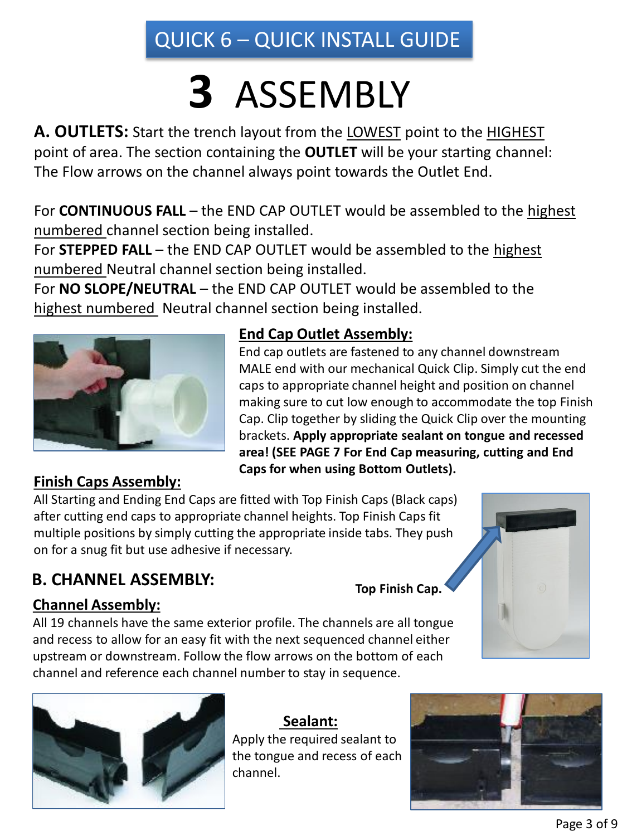# **3** ASSEMBLY

**A. OUTLETS:** Start the trench layout from the LOWEST point to the HIGHEST point of area. The section containing the **OUTLET** will be your starting channel: The Flow arrows on the channel always point towards the Outlet End.

For **CONTINUOUS FALL** – the END CAP OUTLET would be assembled to the highest numbered channel section being installed.

For **STEPPED FALL** – the END CAP OUTLET would be assembled to the highest numbered Neutral channel section being installed.

For **NO SLOPE/NEUTRAL** – the END CAP OUTLET would be assembled to the highest numbered Neutral channel section being installed.



## **Finish Caps Assembly:**

## **End Cap Outlet Assembly:**

End cap outlets are fastened to any channel downstream MALE end with our mechanical Quick Clip. Simply cut the end caps to appropriate channel height and position on channel making sure to cut low enough to accommodate the top Finish Cap. Clip together by sliding the Quick Clip over the mounting brackets. **Apply appropriate sealant on tongue and recessed area! (SEE PAGE 7 For End Cap measuring, cutting and End Caps for when using Bottom Outlets).**

All Starting and Ending End Caps are fitted with Top Finish Caps (Black caps) after cutting end caps to appropriate channel heights. Top Finish Caps fit multiple positions by simply cutting the appropriate inside tabs. They push on for a snug fit but use adhesive if necessary.

## **B. CHANNEL ASSEMBLY:**

**Channel Assembly:**

#### **Top Finish Cap.**



#### All 19 channels have the same exterior profile. The channels are all tongue and recess to allow for an easy fit with the next sequenced channel either upstream or downstream. Follow the flow arrows on the bottom of each channel and reference each channel number to stay in sequence.



## **Sealant:**

Apply the required sealant to the tongue and recess of each channel.

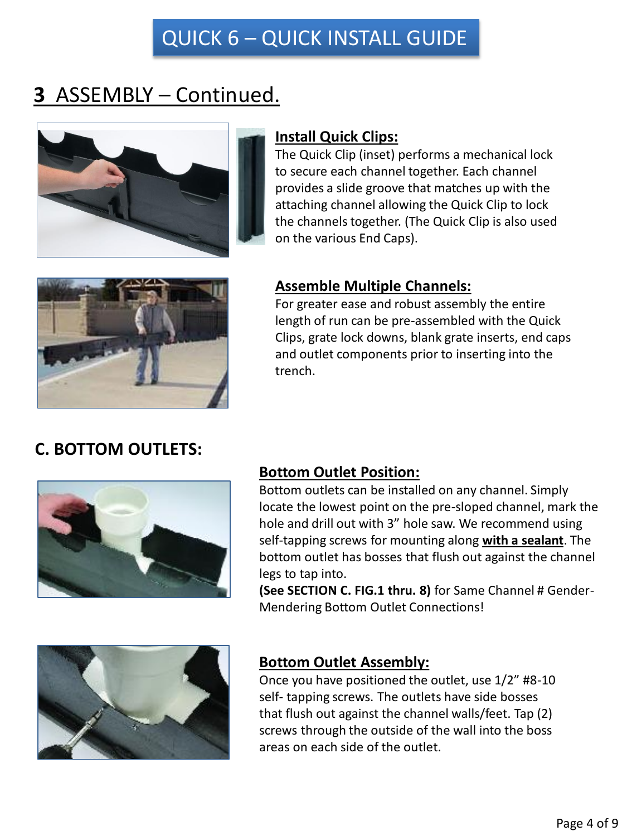## **3** ASSEMBLY – Continued.



#### **Install Quick Clips:**

The Quick Clip (inset) performs a mechanical lock to secure each channel together. Each channel provides a slide groove that matches up with the attaching channel allowing the Quick Clip to lock the channels together. (The Quick Clip is also used on the various End Caps).



#### **Assemble Multiple Channels:**

For greater ease and robust assembly the entire length of run can be pre-assembled with the Quick Clips, grate lock downs, blank grate inserts, end caps and outlet components prior to inserting into the trench.

## **C. BOTTOM OUTLETS:**



#### **Bottom Outlet Position:**

Bottom outlets can be installed on any channel. Simply locate the lowest point on the pre-sloped channel, mark the hole and drill out with 3" hole saw. We recommend using self-tapping screws for mounting along **with a sealant**. The bottom outlet has bosses that flush out against the channel legs to tap into.

**(See SECTION C. FIG.1 thru. 8)** for Same Channel # Gender-Mendering Bottom Outlet Connections!



#### **Bottom Outlet Assembly:**

Once you have positioned the outlet, use 1/2" #8-10 self- tapping screws. The outlets have side bosses that flush out against the channel walls/feet. Tap (2) screws through the outside of the wall into the boss areas on each side of the outlet.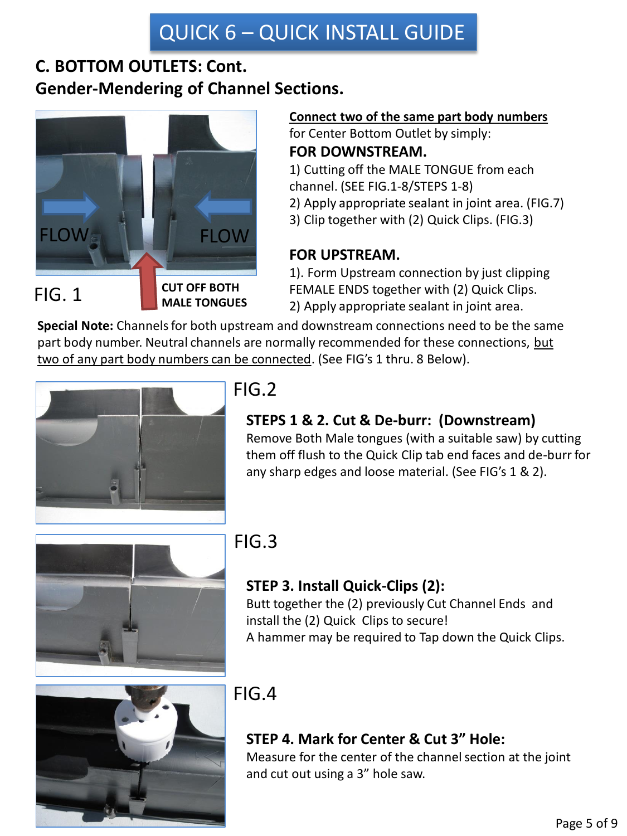## **C. BOTTOM OUTLETS: Cont. Gender-Mendering of Channel Sections.**





#### **Connect two of the same part body numbers**  for Center Bottom Outlet by simply: **FOR DOWNSTREAM.**

1) Cutting off the MALE TONGUE from each channel. (SEE FIG.1-8/STEPS 1-8) 2) Apply appropriate sealant in joint area. (FIG.7) 3) Clip together with (2) Quick Clips. (FIG.3)

## **FOR UPSTREAM.**

1). Form Upstream connection by just clipping FEMALE ENDS together with (2) Quick Clips. 2) Apply appropriate sealant in joint area.

**Special Note:** Channels for both upstream and downstream connections need to be the same part body number. Neutral channels are normally recommended for these connections, but two of any part body numbers can be connected. (See FIG's 1 thru. 8 Below).



## FIG.2

## **STEPS 1 & 2. Cut & De-burr: (Downstream)**

Remove Both Male tongues (with a suitable saw) by cutting them off flush to the Quick Clip tab end faces and de-burr for any sharp edges and loose material. (See FIG's 1 & 2).



## FIG.3

**STEP 3. Install Quick-Clips (2):**  Butt together the (2) previously Cut Channel Ends and install the (2) Quick Clips to secure! A hammer may be required to Tap down the Quick Clips.



## FIG.4

#### **STEP 4. Mark for Center & Cut 3" Hole:** Measure for the center of the channel section at the joint and cut out using a 3" hole saw.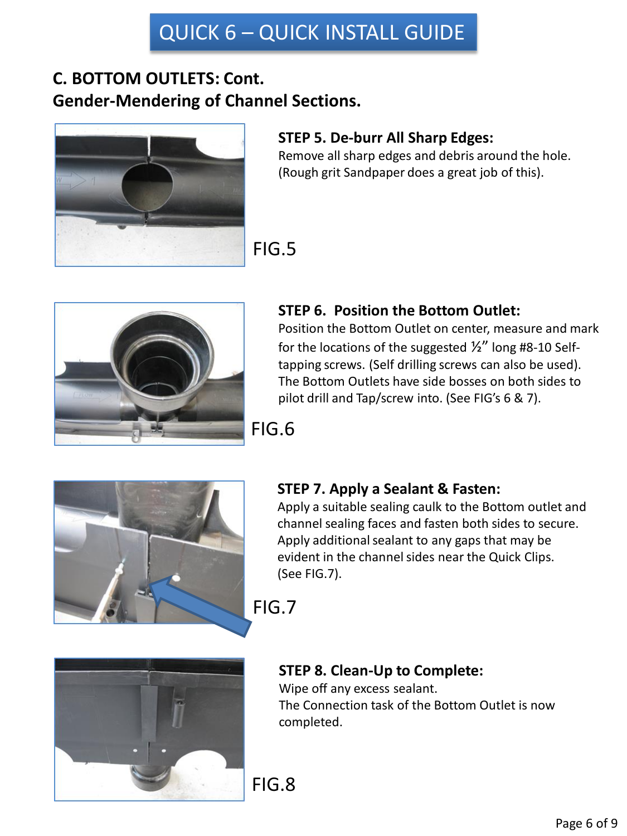## **C. BOTTOM OUTLETS: Cont. Gender-Mendering of Channel Sections.**



### **STEP 5. De-burr All Sharp Edges:**

Remove all sharp edges and debris around the hole. (Rough grit Sandpaper does a great job of this).

## FIG.5



### **STEP 6. Position the Bottom Outlet:**

Position the Bottom Outlet on center, measure and mark for the locations of the suggested  $\frac{1}{2}$ " long #8-10 Selftapping screws. (Self drilling screws can also be used). The Bottom Outlets have side bosses on both sides to pilot drill and Tap/screw into. (See FIG's 6 & 7).

## FIG.6



### **STEP 7. Apply a Sealant & Fasten:**

Apply a suitable sealing caulk to the Bottom outlet and channel sealing faces and fasten both sides to secure. Apply additional sealant to any gaps that may be evident in the channel sides near the Quick Clips. (See FIG.7).

FIG.7



#### **STEP 8. Clean-Up to Complete:**

Wipe off any excess sealant. The Connection task of the Bottom Outlet is now completed.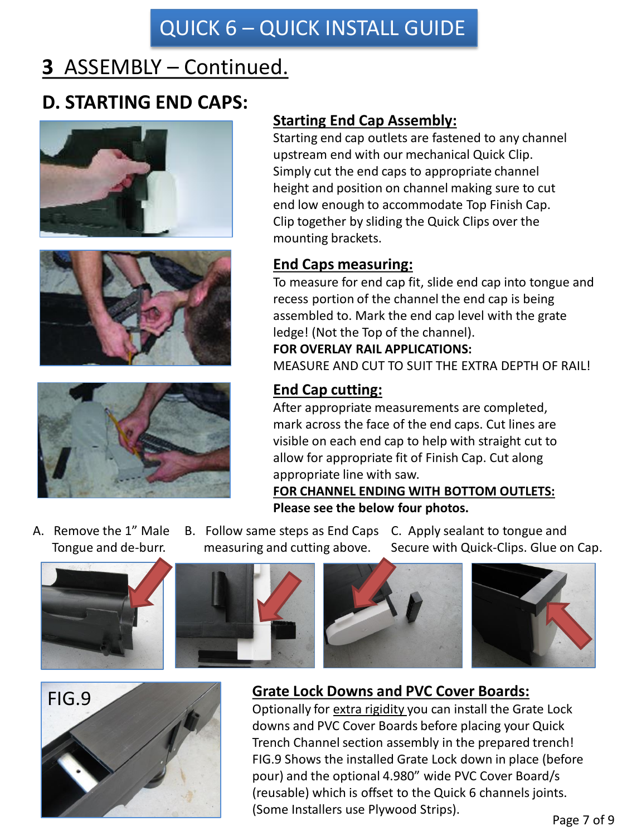## **3** ASSEMBLY – Continued.

## **D. STARTING END CAPS:**







#### **Starting End Cap Assembly:**

Starting end cap outlets are fastened to any channel upstream end with our mechanical Quick Clip. Simply cut the end caps to appropriate channel height and position on channel making sure to cut end low enough to accommodate Top Finish Cap. Clip together by sliding the Quick Clips over the mounting brackets.

#### **End Caps measuring:**

To measure for end cap fit, slide end cap into tongue and recess portion of the channel the end cap is being assembled to. Mark the end cap level with the grate ledge! (Not the Top of the channel).

#### **FOR OVERLAY RAIL APPLICATIONS:**

MEASURE AND CUT TO SUIT THE EXTRA DEPTH OF RAIL!

#### **End Cap cutting:**

After appropriate measurements are completed, mark across the face of the end caps. Cut lines are visible on each end cap to help with straight cut to allow for appropriate fit of Finish Cap. Cut along appropriate line with saw.

**FOR CHANNEL ENDING WITH BOTTOM OUTLETS: Please see the below four photos.**

A. Remove the 1" Male Tongue and de-burr.





measuring and cutting above.



B. Follow same steps as End Caps C. Apply sealant to tongue and



Secure with Quick-Clips. Glue on Cap.



## FIG.9 **Grate Lock Downs and PVC Cover Boards:**

Optionally for extra rigidity you can install the Grate Lock downs and PVC Cover Boards before placing your Quick Trench Channel section assembly in the prepared trench! FIG.9 Shows the installed Grate Lock down in place (before pour) and the optional 4.980" wide PVC Cover Board/s (reusable) which is offset to the Quick 6 channels joints. (Some Installers use Plywood Strips).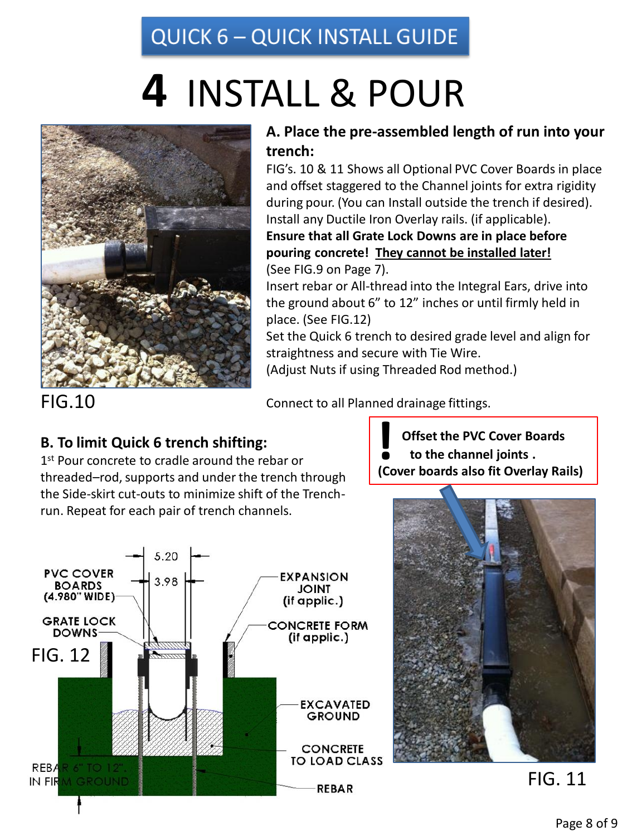## **4** INSTALL & POUR



#### **A. Place the pre-assembled length of run into your trench:**

FIG's. 10 & 11 Shows all Optional PVC Cover Boards in place and offset staggered to the Channel joints for extra rigidity during pour. (You can Install outside the trench if desired). Install any Ductile Iron Overlay rails. (if applicable).

**Ensure that all Grate Lock Downs are in place before pouring concrete! They cannot be installed later!** (See FIG.9 on Page 7).

Insert rebar or All-thread into the Integral Ears, drive into the ground about 6" to 12" inches or until firmly held in place. (See FIG.12)

Set the Quick 6 trench to desired grade level and align for straightness and secure with Tie Wire.

(Adjust Nuts if using Threaded Rod method.)

FIG.10

Connect to all Planned drainage fittings.

## **B. To limit Quick 6 trench shifting:**

1<sup>st</sup> Pour concrete to cradle around the rebar or threaded–rod, supports and under the trench through the Side-skirt cut-outs to minimize shift of the Trenchrun. Repeat for each pair of trench channels.

 **Offset the PVC Cover Boards to the channel joints . c** Offset the PVC Cover Boards<br>to the channel joints .<br>(Cover boards also fit Overlay Rails)





FIG. 11